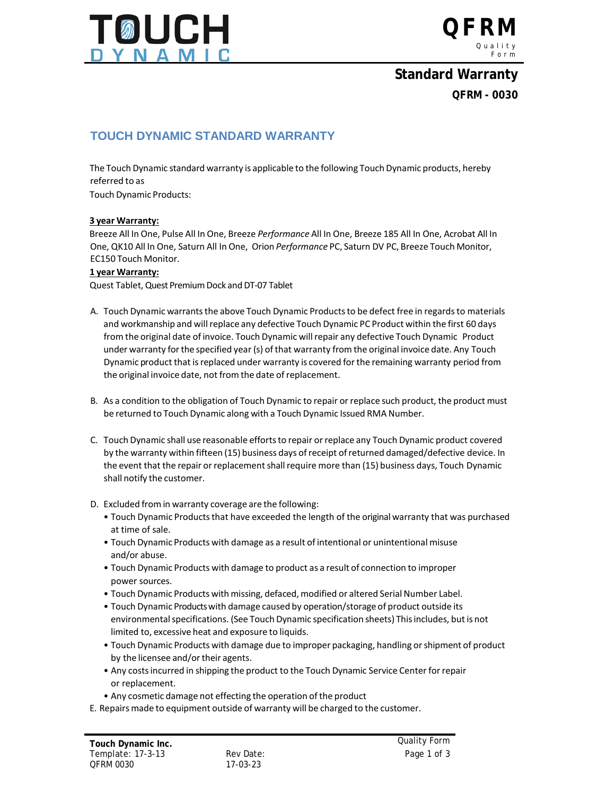



## **Standard Warranty QFRM - 0030**

### **TOUCH DYNAMIC STANDARD WARRANTY**

The Touch Dynamic standard warranty is applicable to the following Touch Dynamic products, hereby referred to as

Touch Dynamic Products:

#### **3 year Warranty:**

Breeze All In One, Pulse All In One, Breeze *Performance* All In One, Breeze 185 All In One, Acrobat All In One, QK10 All In One, Saturn All In One, Orion *Performance* PC, Saturn DV PC, Breeze Touch Monitor, EC150 Touch Monitor.

#### **1 year Warranty:**

Quest Tablet, Quest Premium Dock and DT-07 Tablet

- A. Touch Dynamic warrants the above Touch Dynamic Products to be defect free in regards to materials and workmanship and will replace any defective Touch Dynamic PC Product within the first 60 days from the original date of invoice. Touch Dynamic willrepair any defective Touch Dynamic Product under warranty forthe specified year (s) ofthat warranty from the original invoice date. Any Touch Dynamic product that isreplaced under warranty is covered forthe remaining warranty period from the original invoice date, not from the date of replacement.
- B. As a condition to the obligation of Touch Dynamic to repair or replace such product, the product must be returned to Touch Dynamic along with a Touch Dynamic Issued RMA Number.
- C. Touch Dynamic shall use reasonable effortsto repair orreplace any Touch Dynamic product covered by the warranty within fifteen (15) business days ofreceipt ofreturned damaged/defective device. In the event that the repair or replacement shall require more than (15) business days, Touch Dynamic shall notify the customer.
- D. Excluded fromin warranty coverage are the following:
	- Touch Dynamic Products that have exceeded the length of the original warranty that was purchased at time of sale.
	- Touch Dynamic Products with damage as a result of intentional or unintentional misuse and/or abuse.
	- Touch Dynamic Products with damage to product as a result of connection to improper power sources.
	- Touch Dynamic Products with missing, defaced, modified or altered Serial Number Label.
	- Touch Dynamic Productswith damage caused by operation/storage of product outside its environmentalspecifications. (See Touch Dynamic specification sheets) Thisincludes, but is not limited to, excessive heat and exposure to liquids.
	- Touch Dynamic Products with damage due to improper packaging, handling orshipment of product by the licensee and/or their agents.
	- Any costsincurred in shipping the product to the Touch Dynamic Service Center forrepair or replacement.
	- Any cosmetic damage not effecting the operation of the product
- E. Repairs made to equipment outside of warranty will be charged to the customer.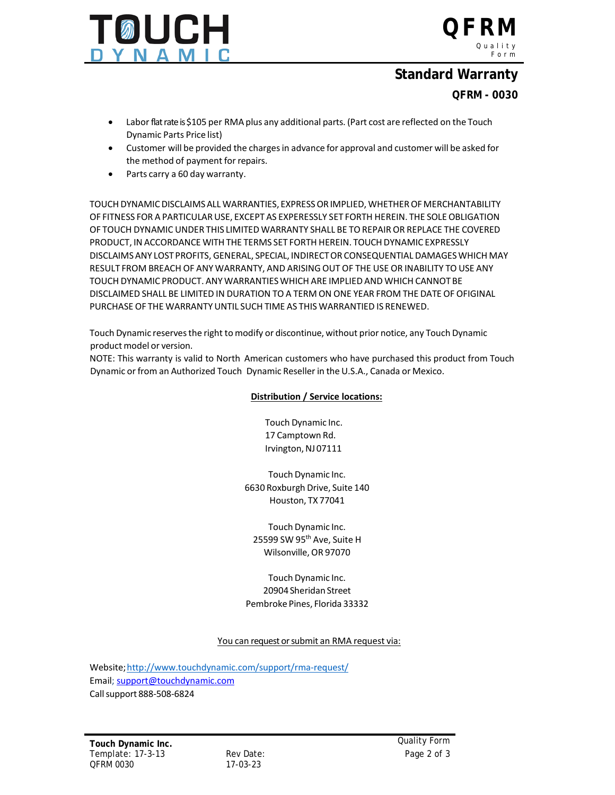

**QFRM** Quality Form

### **Standard Warranty**

### **QFRM - 0030**

- Labor flat rate is \$105 per RMA plus any additional parts. (Part cost are reflected on the Touch Dynamic Parts Price list)
- Customer will be provided the chargesin advance for approval and customer will be asked for the method of payment for repairs.
- Parts carry a 60 day warranty.

TOUCHDYNAMICDISCLAIMSALL WARRANTIES, EXPRESSORIMPLIED, WHETHEROFMERCHANTABILITY OF FITNESS FOR A PARTICULARUSE, EXCEPT AS EXPERESSLY SET FORTH HEREIN. THE SOLEOBLIGATION OF TOUCH DYNAMIC UNDER THIS LIMITED WARRANTY SHALL BE TOREPAIR OR REPLACE THE COVERED PRODUCT, IN ACCORDANCE WITH THE TERMS SET FORTH HEREIN. TOUCH DYNAMIC EXPRESSLY DISCLAIMSANY LOSTPROFITS, GENERAL, SPECIAL, INDIRECTOR CONSEQUENTIAL DAMAGESWHICH MAY RESULT FROM BREACH OF ANY WARRANTY, AND ARISINGOUT OF THE USE OR INABILITY TO USE ANY TOUCH DYNAMIC PRODUCT. ANYWARRANTIESWHICH ARE IMPLIED AND WHICH CANNOTBE DISCLAIMED SHALL BE LIMITED IN DURATION TO A TERM ON ONE YEAR FROM THE DATE OF OFIGINAL PURCHASE OF THE WARRANTYUNTIL SUCH TIME AS THIS WARRANTIED IS RENEWED.

Touch Dynamic reservesthe right to modify or discontinue, without prior notice, any Touch Dynamic product model or version.

NOTE: This warranty is valid to North American customers who have purchased this product from Touch Dynamic or from an Authorized Touch Dynamic Reseller in the U.S.A., Canada or Mexico.

#### **Distribution / Service locations:**

Touch Dynamic Inc. 17 Camptown Rd. Irvington, NJ 07111

Touch Dynamic Inc. 6630 Roxburgh Drive, Suite 140 Houston, TX 77041

Touch Dynamic Inc. 25599 SW 95<sup>th</sup> Ave, Suite H Wilsonville, OR 97070

Touch Dynamic Inc. 20904 Sheridan Street Pembroke Pines, Florida 33332

You can request or submit an RMA request via:

Website[;http://www.touchdynamic.com/support/rma-request/](http://www.touchdynamic.com/support/rma-request/) Email; [support@touchdynamic.com](mailto:support@touchdynamic.com) Callsupport 888-508-6824